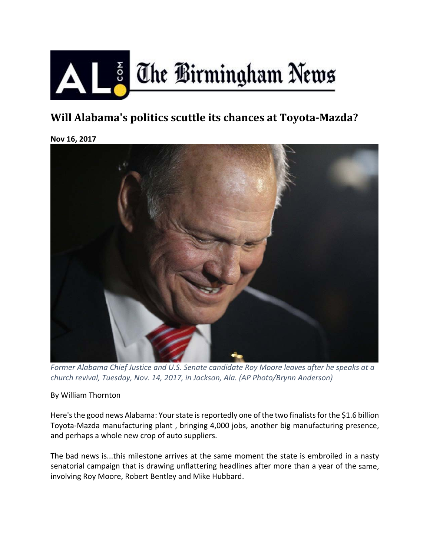

## **Will Alabama's politics scuttle its chances at Toyota‐Mazda?**

**Nov 16, 2017** 



*Former Alabama Chief Justice and U.S. Senate candidate Roy Moore leaves after he speaks at a church revival, Tuesday, Nov. 14, 2017, in Jackson, Ala. (AP Photo/Brynn Anderson)*

## By William Thornton

Here's the good news Alabama: Your state is reportedly one of the two finalists for the \$1.6 billion Toyota‐Mazda manufacturing plant , bringing 4,000 jobs, another big manufacturing presence, and perhaps a whole new crop of auto suppliers.

The bad news is...this milestone arrives at the same moment the state is embroiled in a nasty senatorial campaign that is drawing unflattering headlines after more than a year of the same, involving Roy Moore, Robert Bentley and Mike Hubbard.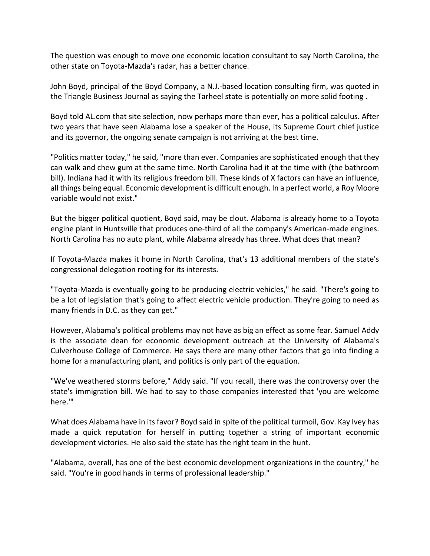The question was enough to move one economic location consultant to say North Carolina, the other state on Toyota‐Mazda's radar, has a better chance.

John Boyd, principal of the Boyd Company, a N.J.‐based location consulting firm, was quoted in the Triangle Business Journal as saying the Tarheel state is potentially on more solid footing .

Boyd told AL.com that site selection, now perhaps more than ever, has a political calculus. After two years that have seen Alabama lose a speaker of the House, its Supreme Court chief justice and its governor, the ongoing senate campaign is not arriving at the best time.

"Politics matter today," he said, "more than ever. Companies are sophisticated enough that they can walk and chew gum at the same time. North Carolina had it at the time with (the bathroom bill). Indiana had it with its religious freedom bill. These kinds of X factors can have an influence, all things being equal. Economic development is difficult enough. In a perfect world, a Roy Moore variable would not exist."

But the bigger political quotient, Boyd said, may be clout. Alabama is already home to a Toyota engine plant in Huntsville that produces one-third of all the company's American-made engines. North Carolina has no auto plant, while Alabama already has three. What does that mean?

If Toyota‐Mazda makes it home in North Carolina, that's 13 additional members of the state's congressional delegation rooting for its interests.

"Toyota‐Mazda is eventually going to be producing electric vehicles," he said. "There's going to be a lot of legislation that's going to affect electric vehicle production. They're going to need as many friends in D.C. as they can get."

However, Alabama's political problems may not have as big an effect as some fear. Samuel Addy is the associate dean for economic development outreach at the University of Alabama's Culverhouse College of Commerce. He says there are many other factors that go into finding a home for a manufacturing plant, and politics is only part of the equation.

"We've weathered storms before," Addy said. "If you recall, there was the controversy over the state's immigration bill. We had to say to those companies interested that 'you are welcome here.'"

What does Alabama have in its favor? Boyd said in spite of the political turmoil, Gov. Kay Ivey has made a quick reputation for herself in putting together a string of important economic development victories. He also said the state has the right team in the hunt.

"Alabama, overall, has one of the best economic development organizations in the country," he said. "You're in good hands in terms of professional leadership."